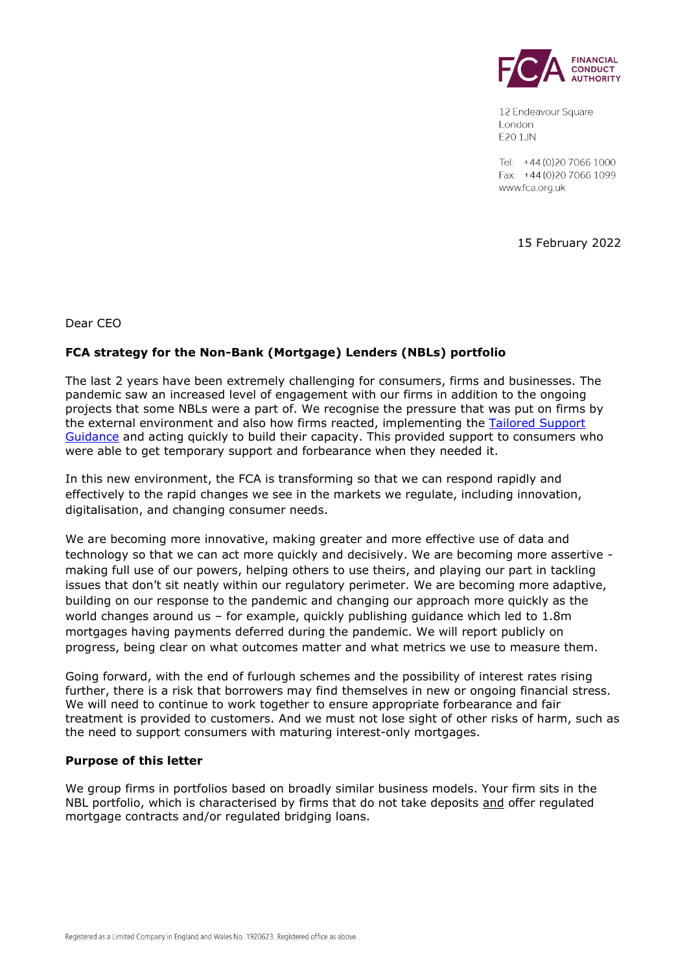

12 Endeavour Square London **E20 1JN** 

Tel: +44 (0) 20 7066 1000 Fax: +44 (0) 20 7066 1099 www.fca.org.uk

15 February 2022

Dear CEO

# **FCA strategy for the Non-Bank (Mortgage) Lenders (NBLs) portfolio**

The last 2 years have been extremely challenging for consumers, firms and businesses. The pandemic saw an increased level of engagement with our firms in addition to the ongoing projects that some NBLs were a part of. We recognise the pressure that was put on firms by the external environment and also how firms reacted, implementing the Tailored Support [Guidance](https://www.fca.org.uk/publication/finalised-guidance/mortgages-and-coronavirus-tailored-support-guidance.pdf) and acting quickly to build their capacity. This provided support to consumers who were able to get temporary support and forbearance when they needed it.

In this new environment, the FCA is transforming so that we can respond rapidly and effectively to the rapid changes we see in the markets we regulate, including innovation, digitalisation, and changing consumer needs.

We are becoming more innovative, making greater and more effective use of data and technology so that we can act more quickly and decisively. We are becoming more assertive making full use of our powers, helping others to use theirs, and playing our part in tackling issues that don't sit neatly within our regulatory perimeter. We are becoming more adaptive, building on our response to the pandemic and changing our approach more quickly as the world changes around us – for example, quickly publishing guidance which led to 1.8m mortgages having payments deferred during the pandemic. We will report publicly on progress, being clear on what outcomes matter and what metrics we use to measure them.

Going forward, with the end of furlough schemes and the possibility of interest rates rising further, there is a risk that borrowers may find themselves in new or ongoing financial stress. We will need to continue to work together to ensure appropriate forbearance and fair treatment is provided to customers. And we must not lose sight of other risks of harm, such as the need to support consumers with maturing interest-only mortgages.

#### **Purpose of this letter**

We group firms in portfolios based on broadly similar business models. Your firm sits in the NBL portfolio, which is characterised by firms that do not take deposits and offer regulated mortgage contracts and/or regulated bridging loans.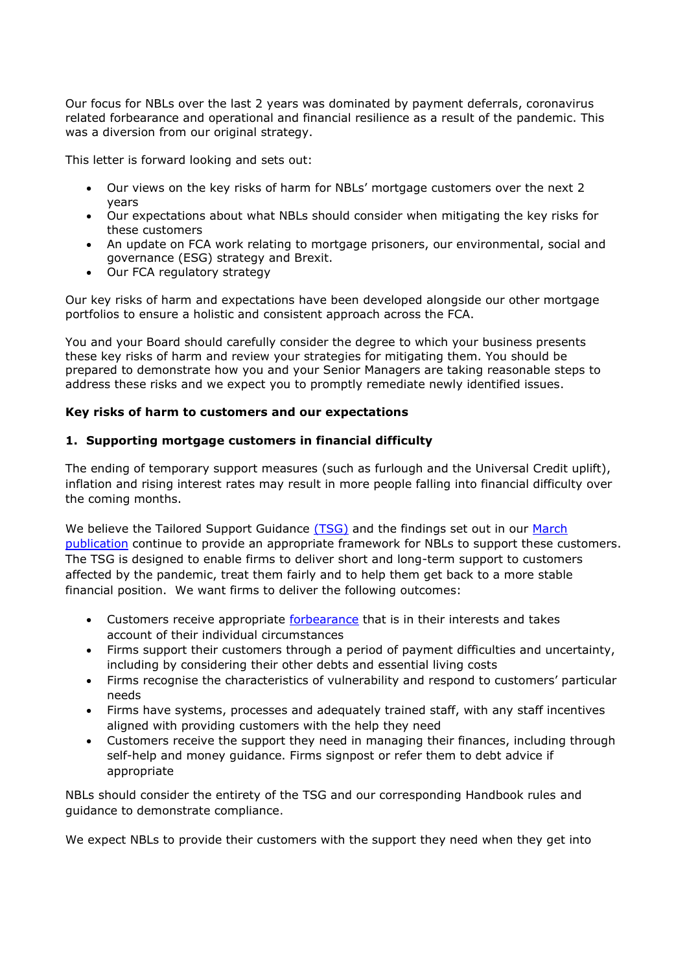Our focus for NBLs over the last 2 years was dominated by payment deferrals, coronavirus related forbearance and operational and financial resilience as a result of the pandemic. This was a diversion from our original strategy.

This letter is forward looking and sets out:

- Our views on the key risks of harm for NBLs' mortgage customers over the next 2 years
- Our expectations about what NBLs should consider when mitigating the key risks for these customers
- An update on FCA work relating to mortgage prisoners, our environmental, social and governance (ESG) strategy and Brexit.
- Our FCA regulatory strategy

Our key risks of harm and expectations have been developed alongside our other mortgage portfolios to ensure a holistic and consistent approach across the FCA.

You and your Board should carefully consider the degree to which your business presents these key risks of harm and review your strategies for mitigating them. You should be prepared to demonstrate how you and your Senior Managers are taking reasonable steps to address these risks and we expect you to promptly remediate newly identified issues.

### **Key risks of harm to customers and our expectations**

### **1. Supporting mortgage customers in financial difficulty**

The ending of temporary support measures (such as furlough and the Universal Credit uplift), inflation and rising interest rates may result in more people falling into financial difficulty over the coming months.

We believe the Tailored Support Guidance [\(TSG\)](https://www.fca.org.uk/publication/finalised-guidance/mortgages-and-coronavirus-tailored-support-guidance.pdf) and the findings set out in our March [publication](https://www.fca.org.uk/publications/multi-firm-reviews/coronavirus-linked-forbearance-key-findings) continue to provide an appropriate framework for NBLs to support these customers. The TSG is designed to enable firms to deliver short and long-term support to customers affected by the pandemic, treat them fairly and to help them get back to a more stable financial position. We want firms to deliver the following outcomes:

- Customers receive appropriate [forbearance](https://www.fca.org.uk/firms/borrowers-financial-difficulty-project) that is in their interests and takes account of their individual circumstances
- Firms support their customers through a period of payment difficulties and uncertainty, including by considering their other debts and essential living costs
- Firms recognise the characteristics of vulnerability and respond to customers' particular needs
- Firms have systems, processes and adequately trained staff, with any staff incentives aligned with providing customers with the help they need
- Customers receive the support they need in managing their finances, including through self-help and money guidance. Firms signpost or refer them to debt advice if appropriate

NBLs should consider the entirety of the TSG and our corresponding Handbook rules and guidance to demonstrate compliance.

We expect NBLs to provide their customers with the support they need when they get into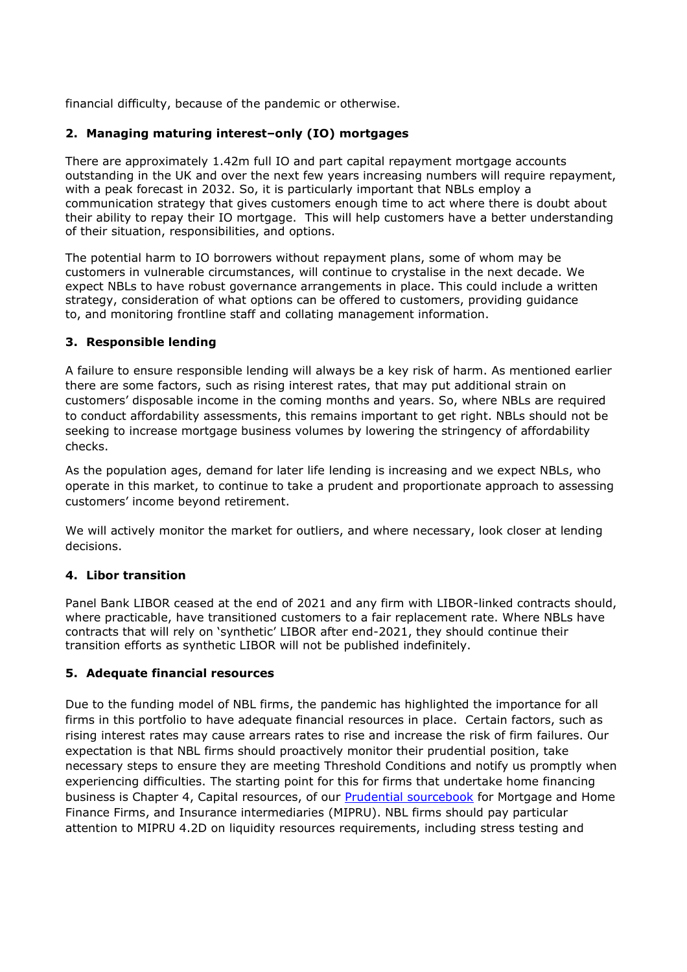financial difficulty, because of the pandemic or otherwise.

# **2. Managing maturing interest–only (IO) mortgages**

There are approximately 1.42m full IO and part capital repayment mortgage accounts outstanding in the UK and over the next few years increasing numbers will require repayment, with a peak forecast in 2032. So, it is particularly important that NBLs employ a communication strategy that gives customers enough time to act where there is doubt about their ability to repay their IO mortgage. This will help customers have a better understanding of their situation, responsibilities, and options.

The potential harm to IO borrowers without repayment plans, some of whom may be customers in vulnerable circumstances, will continue to crystalise in the next decade. We expect NBLs to have robust governance arrangements in place. This could include a written strategy, consideration of what options can be offered to customers, providing guidance to, and monitoring frontline staff and collating management information.

# **3. Responsible lending**

A failure to ensure responsible lending will always be a key risk of harm. As mentioned earlier there are some factors, such as rising interest rates, that may put additional strain on customers' disposable income in the coming months and years. So, where NBLs are required to conduct affordability assessments, this remains important to get right. NBLs should not be seeking to increase mortgage business volumes by lowering the stringency of affordability checks.

As the population ages, demand for later life lending is increasing and we expect NBLs, who operate in this market, to continue to take a prudent and proportionate approach to assessing customers' income beyond retirement.

We will actively monitor the market for outliers, and where necessary, look closer at lending decisions.

# **4. Libor transition**

Panel Bank LIBOR ceased at the end of 2021 and any firm with LIBOR-linked contracts should, where practicable, have transitioned customers to a fair replacement rate. Where NBLs have contracts that will rely on 'synthetic' LIBOR after end-2021, they should continue their transition efforts as synthetic LIBOR will not be published indefinitely.

# **5. Adequate financial resources**

Due to the funding model of NBL firms, the pandemic has highlighted the importance for all firms in this portfolio to have adequate financial resources in place. Certain factors, such as rising interest rates may cause arrears rates to rise and increase the risk of firm failures. Our expectation is that NBL firms should proactively monitor their prudential position, take necessary steps to ensure they are meeting Threshold Conditions and notify us promptly when experiencing difficulties. The starting point for this for firms that undertake home financing business is Chapter 4, Capital resources, of our [Prudential sourcebook](https://www.handbook.fca.org.uk/handbook/MIPRU/4.pdf) for Mortgage and Home Finance Firms, and Insurance intermediaries (MIPRU). NBL firms should pay particular attention to MIPRU 4.2D on liquidity resources requirements, including stress testing and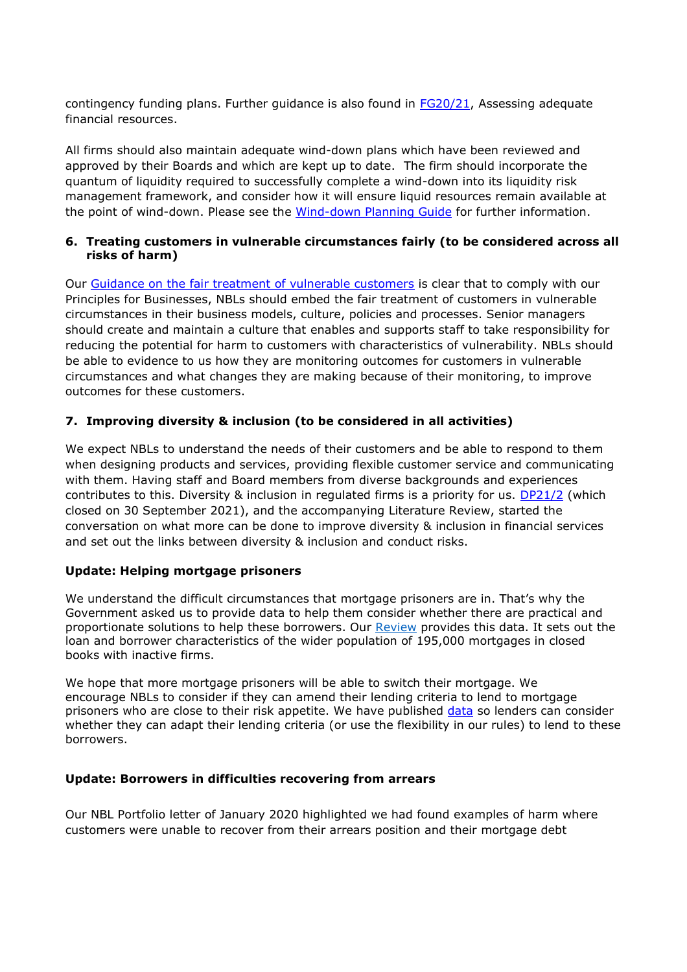contingency funding plans. Further guidance is also found in  $FG20/21$ , Assessing adequate financial resources.

All firms should also maintain adequate wind-down plans which have been reviewed and approved by their Boards and which are kept up to date. The firm should incorporate the quantum of liquidity required to successfully complete a wind-down into its liquidity risk management framework, and consider how it will ensure liquid resources remain available at the point of wind-down. Please see the [Wind-down Planning Guide](https://www.handbook.fca.org.uk/handbook/WDPG.pdf) for further information.

## **6. Treating customers in vulnerable circumstances fairly (to be considered across all risks of harm)**

Our [Guidance on the fair treatment of vulnerable customers](https://www.fca.org.uk/publication/finalised-guidance/fg21-1.pdf) is clear that to comply with our Principles for Businesses, NBLs should embed the fair treatment of customers in vulnerable circumstances in their business models, culture, policies and processes. Senior managers should create and maintain a culture that enables and supports staff to take responsibility for reducing the potential for harm to customers with characteristics of vulnerability. NBLs should be able to evidence to us how they are monitoring outcomes for customers in vulnerable circumstances and what changes they are making because of their monitoring, to improve outcomes for these customers.

# **7. Improving diversity & inclusion (to be considered in all activities)**

We expect NBLs to understand the needs of their customers and be able to respond to them when designing products and services, providing flexible customer service and communicating with them. Having staff and Board members from diverse backgrounds and experiences contributes to this. Diversity & inclusion in regulated firms is a priority for us. [DP21/2](https://www.fca.org.uk/publications/discussion-papers/dp-21-2-diversity-and-inclusion-financial-sector-working-together-drive-change) (which closed on 30 September 2021), and the accompanying Literature Review, started the conversation on what more can be done to improve diversity & inclusion in financial services and set out the links between diversity & inclusion and conduct risks.

# **Update: Helping mortgage prisoners**

We understand the difficult circumstances that mortgage prisoners are in. That's why the Government asked us to provide data to help them consider whether there are practical and proportionate solutions to help these borrowers. Our [Review](https://www.fca.org.uk/news/news-stories/mortgage-prisoner-review) provides this data. It sets out the loan and borrower characteristics of the wider population of 195,000 mortgages in closed books with inactive firms.

We hope that more mortgage prisoners will be able to switch their mortgage. We encourage NBLs to consider if they can amend their lending criteria to lend to mortgage prisoners who are close to their risk appetite. We have published [data](https://www.fca.org.uk/publication/data/annex-1-closed-book-mortgages-segmentation-analysis-final-%28protected%29.xlsm) so lenders can consider whether they can adapt their lending criteria (or use the flexibility in our rules) to lend to these borrowers.

# **Update: Borrowers in difficulties recovering from arrears**

Our NBL Portfolio letter of January 2020 highlighted we had found examples of harm where customers were unable to recover from their arrears position and their mortgage debt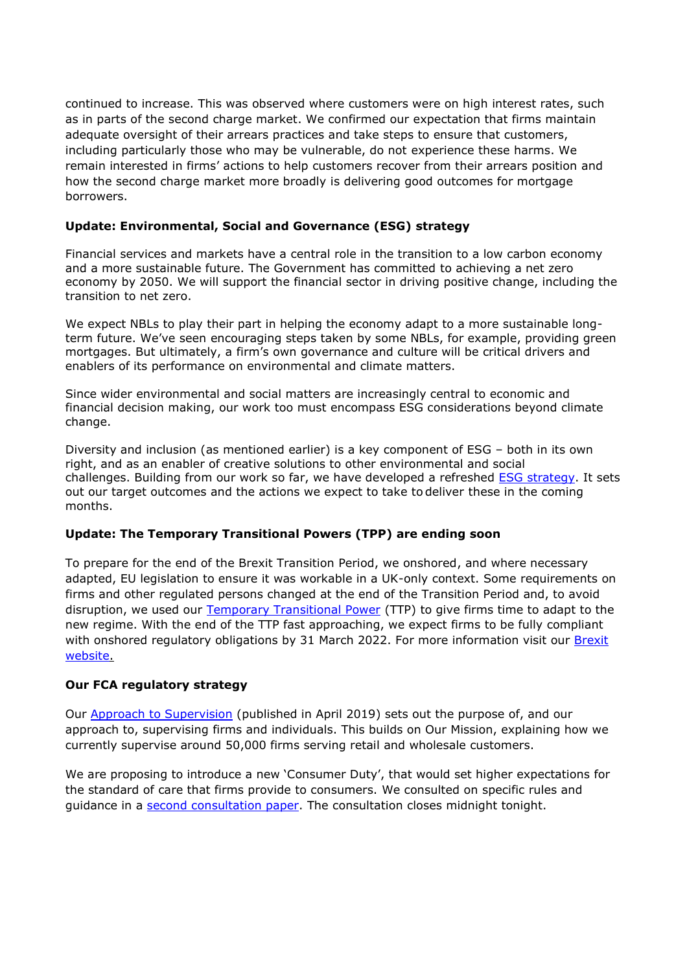continued to increase. This was observed where customers were on high interest rates, such as in parts of the second charge market. We confirmed our expectation that firms maintain adequate oversight of their arrears practices and take steps to ensure that customers, including particularly those who may be vulnerable, do not experience these harms. We remain interested in firms' actions to help customers recover from their arrears position and how the second charge market more broadly is delivering good outcomes for mortgage borrowers.

# **Update: Environmental, Social and Governance (ESG) strategy**

Financial services and markets have a central role in the transition to a low carbon economy and a more sustainable future. The Government has committed to achieving a net zero economy by 2050. We will support the financial sector in driving positive change, including the transition to net zero.

We expect NBLs to play their part in helping the economy adapt to a more sustainable longterm future. We've seen encouraging steps taken by some NBLs, for example, providing green mortgages. But ultimately, a firm's own governance and culture will be critical drivers and enablers of its performance on environmental and climate matters.

Since wider environmental and social matters are increasingly central to economic and financial decision making, our work too must encompass ESG considerations beyond climate change.

Diversity and inclusion (as mentioned earlier) is a key component of ESG – both in its own right, and as an enabler of creative solutions to other environmental and social challenges. Building from our work so far, we have developed a refreshed [ESG strategy.](https://www.fca.org.uk/publications/corporate-documents/strategy-positive-change-our-esg-priorities) It sets out our target outcomes and the actions we expect to take to deliver these in the coming months.

# **Update: The Temporary Transitional Powers (TPP) are ending soon**

To prepare for the end of the Brexit Transition Period, we onshored, and where necessary adapted, EU legislation to ensure it was workable in a UK-only context. Some requirements on firms and other regulated persons changed at the end of the Transition Period and, to avoid disruption, we used our **Temporary Transitional Power** (TTP) to give firms time to adapt to the new regime. With the end of the TTP fast approaching, we expect firms to be fully compliant with onshored regulatory obligations by 31 March 2022. For more information visit our Brexit [website.](https://www.fca.org.uk/brexit)

# **Our FCA regulatory strategy**

Our [Approach to Supervision](https://www.fca.org.uk/publication/corporate/our-approach-supervision-final-report-feedback-statement.pdf) (published in April 2019) sets out the purpose of, and our approach to, supervising firms and individuals. This builds on Our Mission, explaining how we currently supervise around 50,000 firms serving retail and wholesale customers.

We are proposing to introduce a new 'Consumer Duty', that would set higher expectations for the standard of care that firms provide to consumers. We consulted on specific rules and guidance in a [second consultation paper.](https://www.fca.org.uk/publications/consultation-papers/cp21-36-new-consumer-duty-feedback-cp21-13-further-consultation) The consultation closes midnight tonight.